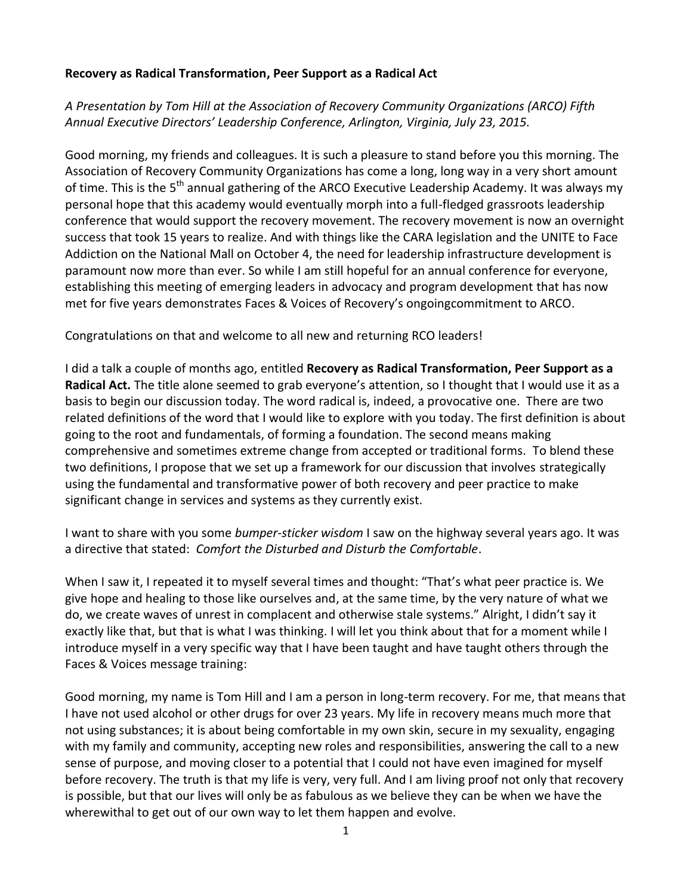## **Recovery as Radical Transformation, Peer Support as a Radical Act**

*A Presentation by Tom Hill at the Association of Recovery Community Organizations (ARCO) Fifth Annual Executive Directors' Leadership Conference, Arlington, Virginia, July 23, 2015.*

Good morning, my friends and colleagues. It is such a pleasure to stand before you this morning. The Association of Recovery Community Organizations has come a long, long way in a very short amount of time. This is the  $5<sup>th</sup>$  annual gathering of the ARCO Executive Leadership Academy. It was always my personal hope that this academy would eventually morph into a full-fledged grassroots leadership conference that would support the recovery movement. The recovery movement is now an overnight success that took 15 years to realize. And with things like the CARA legislation and the UNITE to Face Addiction on the National Mall on October 4, the need for leadership infrastructure development is paramount now more than ever. So while I am still hopeful for an annual conference for everyone, establishing this meeting of emerging leaders in advocacy and program development that has now met for five years demonstrates Faces & Voices of Recovery's ongoingcommitment to ARCO.

Congratulations on that and welcome to all new and returning RCO leaders!

I did a talk a couple of months ago, entitled **Recovery as Radical Transformation, Peer Support as a Radical Act.** The title alone seemed to grab everyone's attention, so I thought that I would use it as a basis to begin our discussion today. The word radical is, indeed, a provocative one. There are two related definitions of the word that I would like to explore with you today. The first definition is about going to the root and fundamentals, of forming a foundation. The second means making comprehensive and sometimes extreme change from accepted or traditional forms. To blend these two definitions, I propose that we set up a framework for our discussion that involves strategically using the fundamental and transformative power of both recovery and peer practice to make significant change in services and systems as they currently exist.

I want to share with you some *bumper-sticker wisdom* I saw on the highway several years ago. It was a directive that stated: *Comfort the Disturbed and Disturb the Comfortable*.

When I saw it, I repeated it to myself several times and thought: "That's what peer practice is. We give hope and healing to those like ourselves and, at the same time, by the very nature of what we do, we create waves of unrest in complacent and otherwise stale systems." Alright, I didn't say it exactly like that, but that is what I was thinking. I will let you think about that for a moment while I introduce myself in a very specific way that I have been taught and have taught others through the Faces & Voices message training:

Good morning, my name is Tom Hill and I am a person in long-term recovery. For me, that means that I have not used alcohol or other drugs for over 23 years. My life in recovery means much more that not using substances; it is about being comfortable in my own skin, secure in my sexuality, engaging with my family and community, accepting new roles and responsibilities, answering the call to a new sense of purpose, and moving closer to a potential that I could not have even imagined for myself before recovery. The truth is that my life is very, very full. And I am living proof not only that recovery is possible, but that our lives will only be as fabulous as we believe they can be when we have the wherewithal to get out of our own way to let them happen and evolve.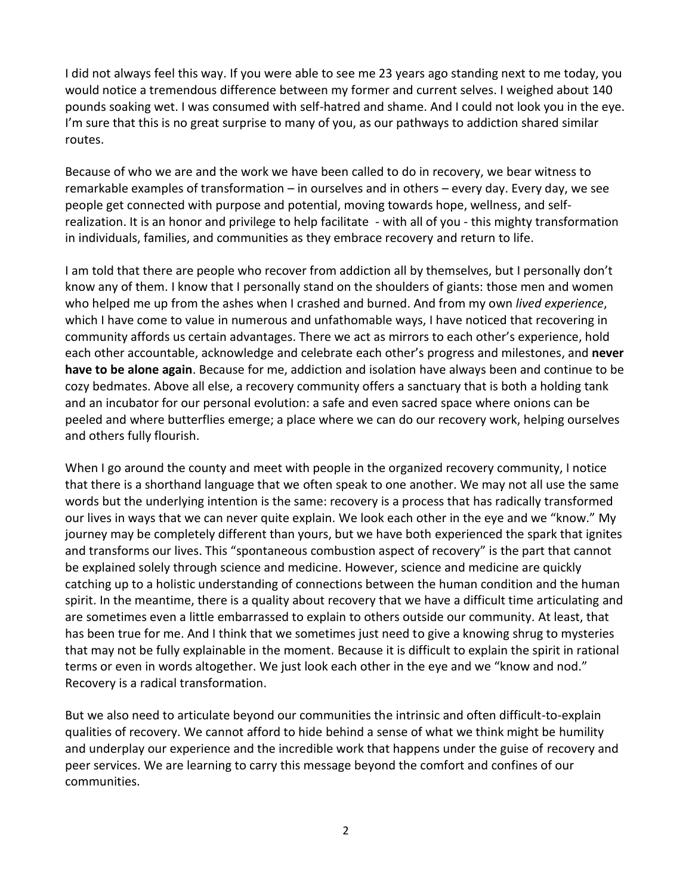I did not always feel this way. If you were able to see me 23 years ago standing next to me today, you would notice a tremendous difference between my former and current selves. I weighed about 140 pounds soaking wet. I was consumed with self-hatred and shame. And I could not look you in the eye. I'm sure that this is no great surprise to many of you, as our pathways to addiction shared similar routes.

Because of who we are and the work we have been called to do in recovery, we bear witness to remarkable examples of transformation – in ourselves and in others – every day. Every day, we see people get connected with purpose and potential, moving towards hope, wellness, and selfrealization. It is an honor and privilege to help facilitate - with all of you - this mighty transformation in individuals, families, and communities as they embrace recovery and return to life.

I am told that there are people who recover from addiction all by themselves, but I personally don't know any of them. I know that I personally stand on the shoulders of giants: those men and women who helped me up from the ashes when I crashed and burned. And from my own *lived experience*, which I have come to value in numerous and unfathomable ways, I have noticed that recovering in community affords us certain advantages. There we act as mirrors to each other's experience, hold each other accountable, acknowledge and celebrate each other's progress and milestones, and **never have to be alone again**. Because for me, addiction and isolation have always been and continue to be cozy bedmates. Above all else, a recovery community offers a sanctuary that is both a holding tank and an incubator for our personal evolution: a safe and even sacred space where onions can be peeled and where butterflies emerge; a place where we can do our recovery work, helping ourselves and others fully flourish.

When I go around the county and meet with people in the organized recovery community, I notice that there is a shorthand language that we often speak to one another. We may not all use the same words but the underlying intention is the same: recovery is a process that has radically transformed our lives in ways that we can never quite explain. We look each other in the eye and we "know." My journey may be completely different than yours, but we have both experienced the spark that ignites and transforms our lives. This "spontaneous combustion aspect of recovery" is the part that cannot be explained solely through science and medicine. However, science and medicine are quickly catching up to a holistic understanding of connections between the human condition and the human spirit. In the meantime, there is a quality about recovery that we have a difficult time articulating and are sometimes even a little embarrassed to explain to others outside our community. At least, that has been true for me. And I think that we sometimes just need to give a knowing shrug to mysteries that may not be fully explainable in the moment. Because it is difficult to explain the spirit in rational terms or even in words altogether. We just look each other in the eye and we "know and nod." Recovery is a radical transformation.

But we also need to articulate beyond our communities the intrinsic and often difficult-to-explain qualities of recovery. We cannot afford to hide behind a sense of what we think might be humility and underplay our experience and the incredible work that happens under the guise of recovery and peer services. We are learning to carry this message beyond the comfort and confines of our communities.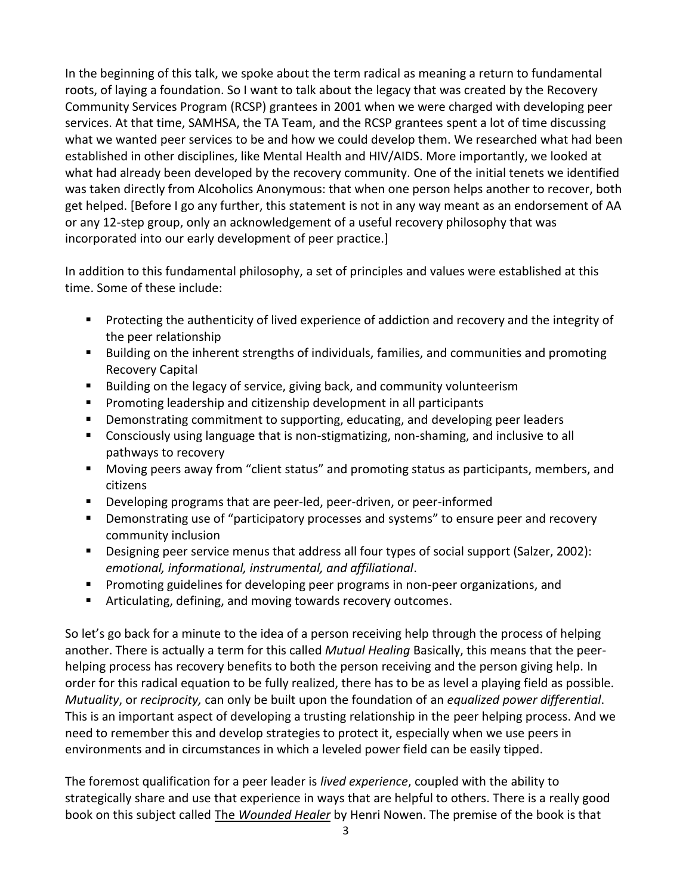In the beginning of this talk, we spoke about the term radical as meaning a return to fundamental roots, of laying a foundation. So I want to talk about the legacy that was created by the Recovery Community Services Program (RCSP) grantees in 2001 when we were charged with developing peer services. At that time, SAMHSA, the TA Team, and the RCSP grantees spent a lot of time discussing what we wanted peer services to be and how we could develop them. We researched what had been established in other disciplines, like Mental Health and HIV/AIDS. More importantly, we looked at what had already been developed by the recovery community. One of the initial tenets we identified was taken directly from Alcoholics Anonymous: that when one person helps another to recover, both get helped. [Before I go any further, this statement is not in any way meant as an endorsement of AA or any 12-step group, only an acknowledgement of a useful recovery philosophy that was incorporated into our early development of peer practice.]

In addition to this fundamental philosophy, a set of principles and values were established at this time. Some of these include:

- **Protecting the authenticity of lived experience of addiction and recovery and the integrity of** the peer relationship
- Building on the inherent strengths of individuals, families, and communities and promoting Recovery Capital
- Building on the legacy of service, giving back, and community volunteerism
- **Promoting leadership and citizenship development in all participants**
- **Demonstrating commitment to supporting, educating, and developing peer leaders**
- **EXP** Consciously using language that is non-stigmatizing, non-shaming, and inclusive to all pathways to recovery
- Moving peers away from "client status" and promoting status as participants, members, and citizens
- **Developing programs that are peer-led, peer-driven, or peer-informed**
- **Demonstrating use of "participatory processes and systems" to ensure peer and recovery** community inclusion
- Designing peer service menus that address all four types of social support (Salzer, 2002): *emotional, informational, instrumental, and affiliational*.
- Promoting guidelines for developing peer programs in non-peer organizations, and
- Articulating, defining, and moving towards recovery outcomes.

So let's go back for a minute to the idea of a person receiving help through the process of helping another. There is actually a term for this called *Mutual Healing* Basically, this means that the peerhelping process has recovery benefits to both the person receiving and the person giving help. In order for this radical equation to be fully realized, there has to be as level a playing field as possible. *Mutuality*, or *reciprocity,* can only be built upon the foundation of an *equalized power differential*. This is an important aspect of developing a trusting relationship in the peer helping process. And we need to remember this and develop strategies to protect it, especially when we use peers in environments and in circumstances in which a leveled power field can be easily tipped.

The foremost qualification for a peer leader is *lived experience*, coupled with the ability to strategically share and use that experience in ways that are helpful to others. There is a really good book on this subject called The *Wounded Healer* by Henri Nowen. The premise of the book is that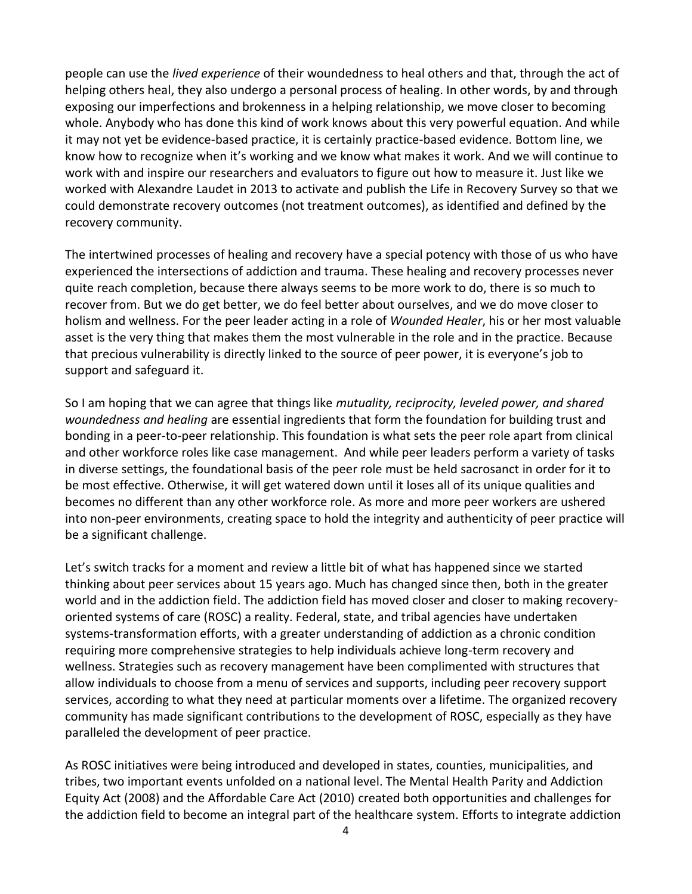people can use the *lived experience* of their woundedness to heal others and that, through the act of helping others heal, they also undergo a personal process of healing. In other words, by and through exposing our imperfections and brokenness in a helping relationship, we move closer to becoming whole. Anybody who has done this kind of work knows about this very powerful equation. And while it may not yet be evidence-based practice, it is certainly practice-based evidence. Bottom line, we know how to recognize when it's working and we know what makes it work. And we will continue to work with and inspire our researchers and evaluators to figure out how to measure it. Just like we worked with Alexandre Laudet in 2013 to activate and publish the Life in Recovery Survey so that we could demonstrate recovery outcomes (not treatment outcomes), as identified and defined by the recovery community.

The intertwined processes of healing and recovery have a special potency with those of us who have experienced the intersections of addiction and trauma. These healing and recovery processes never quite reach completion, because there always seems to be more work to do, there is so much to recover from. But we do get better, we do feel better about ourselves, and we do move closer to holism and wellness. For the peer leader acting in a role of *Wounded Healer*, his or her most valuable asset is the very thing that makes them the most vulnerable in the role and in the practice. Because that precious vulnerability is directly linked to the source of peer power, it is everyone's job to support and safeguard it.

So I am hoping that we can agree that things like *mutuality, reciprocity, leveled power, and shared woundedness and healing* are essential ingredients that form the foundation for building trust and bonding in a peer-to-peer relationship. This foundation is what sets the peer role apart from clinical and other workforce roles like case management. And while peer leaders perform a variety of tasks in diverse settings, the foundational basis of the peer role must be held sacrosanct in order for it to be most effective. Otherwise, it will get watered down until it loses all of its unique qualities and becomes no different than any other workforce role. As more and more peer workers are ushered into non-peer environments, creating space to hold the integrity and authenticity of peer practice will be a significant challenge.

Let's switch tracks for a moment and review a little bit of what has happened since we started thinking about peer services about 15 years ago. Much has changed since then, both in the greater world and in the addiction field. The addiction field has moved closer and closer to making recoveryoriented systems of care (ROSC) a reality. Federal, state, and tribal agencies have undertaken systems-transformation efforts, with a greater understanding of addiction as a chronic condition requiring more comprehensive strategies to help individuals achieve long-term recovery and wellness. Strategies such as recovery management have been complimented with structures that allow individuals to choose from a menu of services and supports, including peer recovery support services, according to what they need at particular moments over a lifetime. The organized recovery community has made significant contributions to the development of ROSC, especially as they have paralleled the development of peer practice.

As ROSC initiatives were being introduced and developed in states, counties, municipalities, and tribes, two important events unfolded on a national level. The Mental Health Parity and Addiction Equity Act (2008) and the Affordable Care Act (2010) created both opportunities and challenges for the addiction field to become an integral part of the healthcare system. Efforts to integrate addiction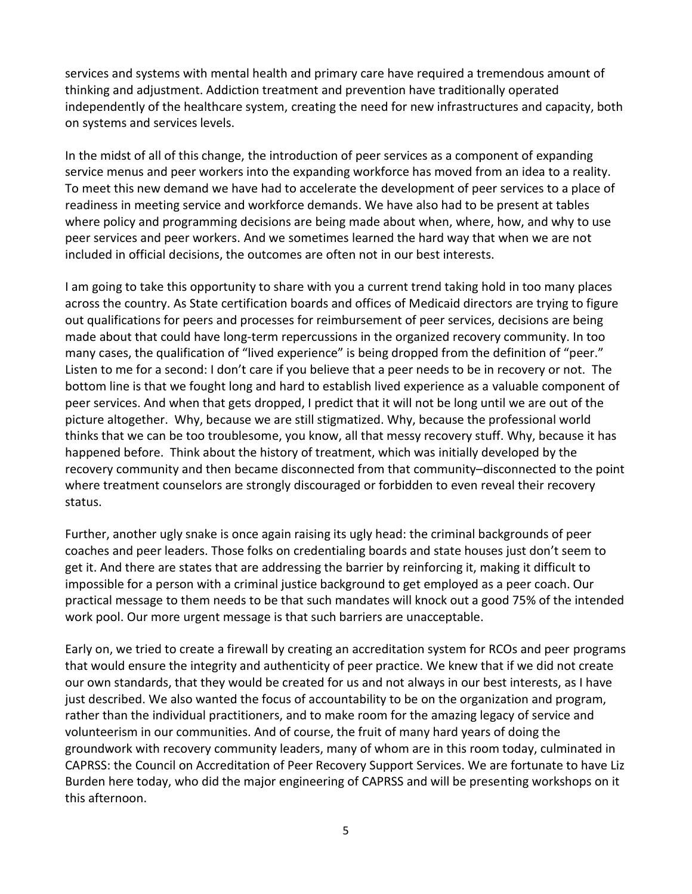services and systems with mental health and primary care have required a tremendous amount of thinking and adjustment. Addiction treatment and prevention have traditionally operated independently of the healthcare system, creating the need for new infrastructures and capacity, both on systems and services levels.

In the midst of all of this change, the introduction of peer services as a component of expanding service menus and peer workers into the expanding workforce has moved from an idea to a reality. To meet this new demand we have had to accelerate the development of peer services to a place of readiness in meeting service and workforce demands. We have also had to be present at tables where policy and programming decisions are being made about when, where, how, and why to use peer services and peer workers. And we sometimes learned the hard way that when we are not included in official decisions, the outcomes are often not in our best interests.

I am going to take this opportunity to share with you a current trend taking hold in too many places across the country. As State certification boards and offices of Medicaid directors are trying to figure out qualifications for peers and processes for reimbursement of peer services, decisions are being made about that could have long-term repercussions in the organized recovery community. In too many cases, the qualification of "lived experience" is being dropped from the definition of "peer." Listen to me for a second: I don't care if you believe that a peer needs to be in recovery or not. The bottom line is that we fought long and hard to establish lived experience as a valuable component of peer services. And when that gets dropped, I predict that it will not be long until we are out of the picture altogether. Why, because we are still stigmatized. Why, because the professional world thinks that we can be too troublesome, you know, all that messy recovery stuff. Why, because it has happened before. Think about the history of treatment, which was initially developed by the recovery community and then became disconnected from that community–disconnected to the point where treatment counselors are strongly discouraged or forbidden to even reveal their recovery status.

Further, another ugly snake is once again raising its ugly head: the criminal backgrounds of peer coaches and peer leaders. Those folks on credentialing boards and state houses just don't seem to get it. And there are states that are addressing the barrier by reinforcing it, making it difficult to impossible for a person with a criminal justice background to get employed as a peer coach. Our practical message to them needs to be that such mandates will knock out a good 75% of the intended work pool. Our more urgent message is that such barriers are unacceptable.

Early on, we tried to create a firewall by creating an accreditation system for RCOs and peer programs that would ensure the integrity and authenticity of peer practice. We knew that if we did not create our own standards, that they would be created for us and not always in our best interests, as I have just described. We also wanted the focus of accountability to be on the organization and program, rather than the individual practitioners, and to make room for the amazing legacy of service and volunteerism in our communities. And of course, the fruit of many hard years of doing the groundwork with recovery community leaders, many of whom are in this room today, culminated in CAPRSS: the Council on Accreditation of Peer Recovery Support Services. We are fortunate to have Liz Burden here today, who did the major engineering of CAPRSS and will be presenting workshops on it this afternoon.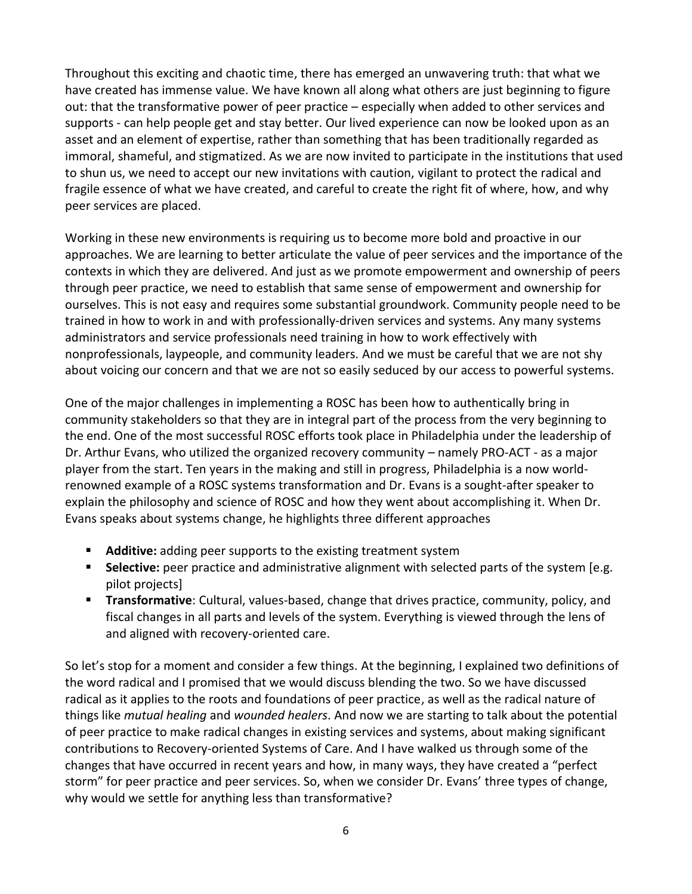Throughout this exciting and chaotic time, there has emerged an unwavering truth: that what we have created has immense value. We have known all along what others are just beginning to figure out: that the transformative power of peer practice – especially when added to other services and supports - can help people get and stay better. Our lived experience can now be looked upon as an asset and an element of expertise, rather than something that has been traditionally regarded as immoral, shameful, and stigmatized. As we are now invited to participate in the institutions that used to shun us, we need to accept our new invitations with caution, vigilant to protect the radical and fragile essence of what we have created, and careful to create the right fit of where, how, and why peer services are placed.

Working in these new environments is requiring us to become more bold and proactive in our approaches. We are learning to better articulate the value of peer services and the importance of the contexts in which they are delivered. And just as we promote empowerment and ownership of peers through peer practice, we need to establish that same sense of empowerment and ownership for ourselves. This is not easy and requires some substantial groundwork. Community people need to be trained in how to work in and with professionally-driven services and systems. Any many systems administrators and service professionals need training in how to work effectively with nonprofessionals, laypeople, and community leaders. And we must be careful that we are not shy about voicing our concern and that we are not so easily seduced by our access to powerful systems.

One of the major challenges in implementing a ROSC has been how to authentically bring in community stakeholders so that they are in integral part of the process from the very beginning to the end. One of the most successful ROSC efforts took place in Philadelphia under the leadership of Dr. Arthur Evans, who utilized the organized recovery community – namely PRO-ACT - as a major player from the start. Ten years in the making and still in progress, Philadelphia is a now worldrenowned example of a ROSC systems transformation and Dr. Evans is a sought-after speaker to explain the philosophy and science of ROSC and how they went about accomplishing it. When Dr. Evans speaks about systems change, he highlights three different approaches

- **Additive:** adding peer supports to the existing treatment system
- **Selective:** peer practice and administrative alignment with selected parts of the system [e.g. pilot projects]
- **Transformative**: Cultural, values-based, change that drives practice, community, policy, and fiscal changes in all parts and levels of the system. Everything is viewed through the lens of and aligned with recovery-oriented care.

So let's stop for a moment and consider a few things. At the beginning, I explained two definitions of the word radical and I promised that we would discuss blending the two. So we have discussed radical as it applies to the roots and foundations of peer practice, as well as the radical nature of things like *mutual healing* and *wounded healers*. And now we are starting to talk about the potential of peer practice to make radical changes in existing services and systems, about making significant contributions to Recovery-oriented Systems of Care. And I have walked us through some of the changes that have occurred in recent years and how, in many ways, they have created a "perfect storm" for peer practice and peer services. So, when we consider Dr. Evans' three types of change, why would we settle for anything less than transformative?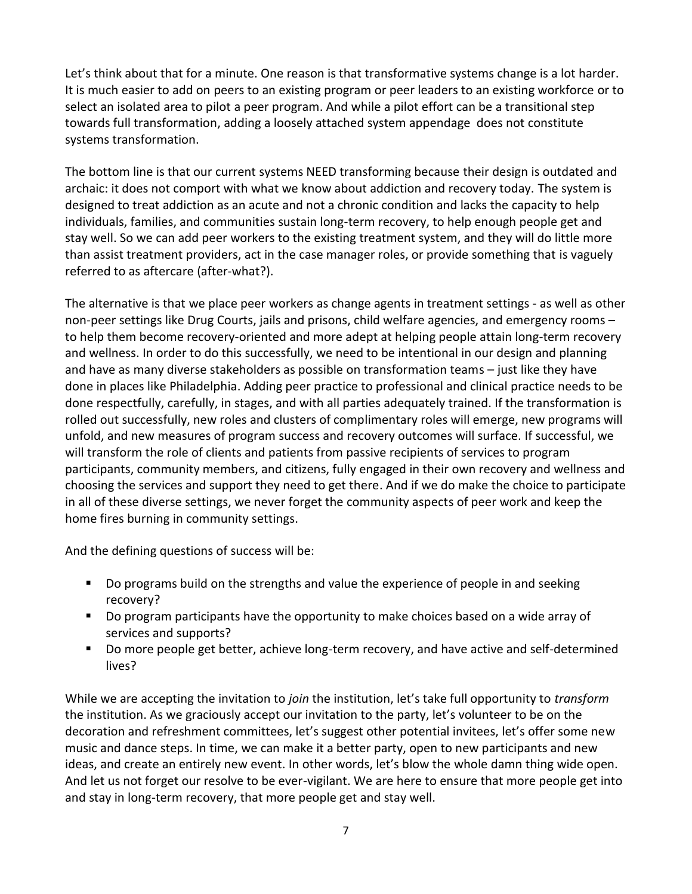Let's think about that for a minute. One reason is that transformative systems change is a lot harder. It is much easier to add on peers to an existing program or peer leaders to an existing workforce or to select an isolated area to pilot a peer program. And while a pilot effort can be a transitional step towards full transformation, adding a loosely attached system appendage does not constitute systems transformation.

The bottom line is that our current systems NEED transforming because their design is outdated and archaic: it does not comport with what we know about addiction and recovery today. The system is designed to treat addiction as an acute and not a chronic condition and lacks the capacity to help individuals, families, and communities sustain long-term recovery, to help enough people get and stay well. So we can add peer workers to the existing treatment system, and they will do little more than assist treatment providers, act in the case manager roles, or provide something that is vaguely referred to as aftercare (after-what?).

The alternative is that we place peer workers as change agents in treatment settings - as well as other non-peer settings like Drug Courts, jails and prisons, child welfare agencies, and emergency rooms – to help them become recovery-oriented and more adept at helping people attain long-term recovery and wellness. In order to do this successfully, we need to be intentional in our design and planning and have as many diverse stakeholders as possible on transformation teams – just like they have done in places like Philadelphia. Adding peer practice to professional and clinical practice needs to be done respectfully, carefully, in stages, and with all parties adequately trained. If the transformation is rolled out successfully, new roles and clusters of complimentary roles will emerge, new programs will unfold, and new measures of program success and recovery outcomes will surface. If successful, we will transform the role of clients and patients from passive recipients of services to program participants, community members, and citizens, fully engaged in their own recovery and wellness and choosing the services and support they need to get there. And if we do make the choice to participate in all of these diverse settings, we never forget the community aspects of peer work and keep the home fires burning in community settings.

And the defining questions of success will be:

- Do programs build on the strengths and value the experience of people in and seeking recovery?
- Do program participants have the opportunity to make choices based on a wide array of services and supports?
- Do more people get better, achieve long-term recovery, and have active and self-determined lives?

While we are accepting the invitation to *join* the institution, let's take full opportunity to *transform* the institution. As we graciously accept our invitation to the party, let's volunteer to be on the decoration and refreshment committees, let's suggest other potential invitees, let's offer some new music and dance steps. In time, we can make it a better party, open to new participants and new ideas, and create an entirely new event. In other words, let's blow the whole damn thing wide open. And let us not forget our resolve to be ever-vigilant. We are here to ensure that more people get into and stay in long-term recovery, that more people get and stay well.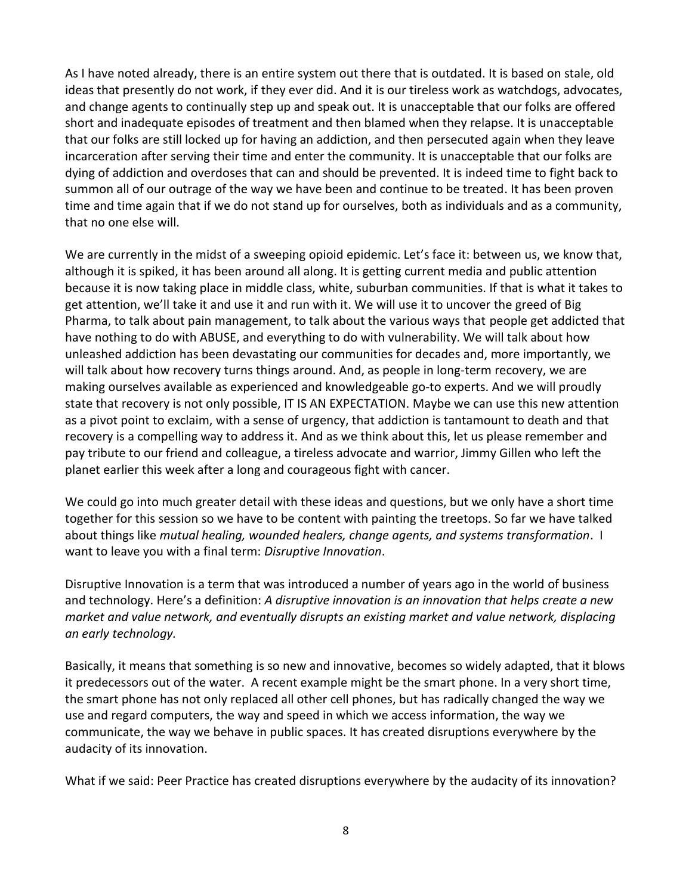As I have noted already, there is an entire system out there that is outdated. It is based on stale, old ideas that presently do not work, if they ever did. And it is our tireless work as watchdogs, advocates, and change agents to continually step up and speak out. It is unacceptable that our folks are offered short and inadequate episodes of treatment and then blamed when they relapse. It is unacceptable that our folks are still locked up for having an addiction, and then persecuted again when they leave incarceration after serving their time and enter the community. It is unacceptable that our folks are dying of addiction and overdoses that can and should be prevented. It is indeed time to fight back to summon all of our outrage of the way we have been and continue to be treated. It has been proven time and time again that if we do not stand up for ourselves, both as individuals and as a community, that no one else will.

We are currently in the midst of a sweeping opioid epidemic. Let's face it: between us, we know that, although it is spiked, it has been around all along. It is getting current media and public attention because it is now taking place in middle class, white, suburban communities. If that is what it takes to get attention, we'll take it and use it and run with it. We will use it to uncover the greed of Big Pharma, to talk about pain management, to talk about the various ways that people get addicted that have nothing to do with ABUSE, and everything to do with vulnerability. We will talk about how unleashed addiction has been devastating our communities for decades and, more importantly, we will talk about how recovery turns things around. And, as people in long-term recovery, we are making ourselves available as experienced and knowledgeable go-to experts. And we will proudly state that recovery is not only possible, IT IS AN EXPECTATION. Maybe we can use this new attention as a pivot point to exclaim, with a sense of urgency, that addiction is tantamount to death and that recovery is a compelling way to address it. And as we think about this, let us please remember and pay tribute to our friend and colleague, a tireless advocate and warrior, Jimmy Gillen who left the planet earlier this week after a long and courageous fight with cancer.

We could go into much greater detail with these ideas and questions, but we only have a short time together for this session so we have to be content with painting the treetops. So far we have talked about things like *mutual healing, wounded healers, change agents, and systems transformation*. I want to leave you with a final term: *Disruptive Innovation*.

Disruptive Innovation is a term that was introduced a number of years ago in the world of business and technology. Here's a definition: *A disruptive innovation is an innovation that helps create a new market and value network, and eventually disrupts an existing market and value network, displacing an early technology.*

Basically, it means that something is so new and innovative, becomes so widely adapted, that it blows it predecessors out of the water. A recent example might be the smart phone. In a very short time, the smart phone has not only replaced all other cell phones, but has radically changed the way we use and regard computers, the way and speed in which we access information, the way we communicate, the way we behave in public spaces. It has created disruptions everywhere by the audacity of its innovation.

What if we said: Peer Practice has created disruptions everywhere by the audacity of its innovation?